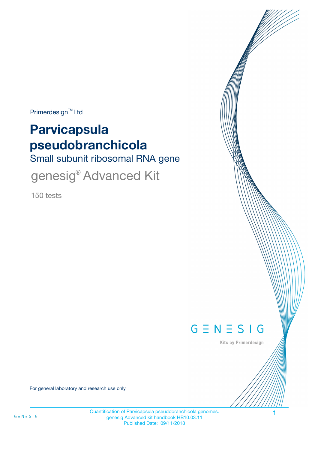$Primerdesign^{\text{TM}}$ Ltd

# **Parvicapsula pseudobranchicola**

Small subunit ribosomal RNA gene

genesig<sup>®</sup> Advanced Kit

150 tests



Kits by Primerdesign

For general laboratory and research use only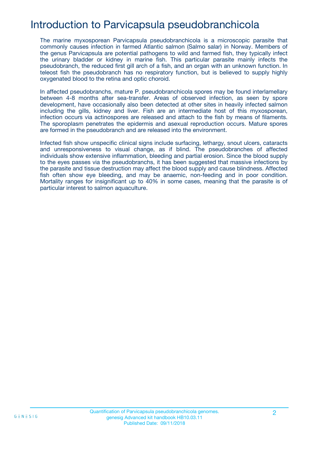# Introduction to Parvicapsula pseudobranchicola

The marine myxosporean Parvicapsula pseudobranchicola is a microscopic parasite that commonly causes infection in farmed Atlantic salmon (Salmo salar) in Norway. Members of the genus Parvicapsula are potential pathogens to wild and farmed fish, they typically infect the urinary bladder or kidney in marine fish. This particular parasite mainly infects the pseudobranch, the reduced first gill arch of a fish, and an organ with an unknown function. In teleost fish the pseudobranch has no respiratory function, but is believed to supply highly oxygenated blood to the retina and optic choroid.

In affected pseudobranchs, mature P. pseudobranchicola spores may be found interlamellary between 4-8 months after sea-transfer. Areas of observed infection, as seen by spore development, have occasionally also been detected at other sites in heavily infected salmon including the gills, kidney and liver. Fish are an intermediate host of this myxosporean, infection occurs via actinospores are released and attach to the fish by means of filaments. The sporoplasm penetrates the epidermis and asexual reproduction occurs. Mature spores are formed in the pseudobranch and are released into the environment.

Infected fish show unspecific clinical signs include surfacing, lethargy, snout ulcers, cataracts and unresponsiveness to visual change, as if blind. The pseudobranches of affected individuals show extensive inflammation, bleeding and partial erosion. Since the blood supply to the eyes passes via the pseudobranchs, it has been suggested that massive infections by the parasite and tissue destruction may affect the blood supply and cause blindness. Affected fish often show eye bleeding, and may be anaemic, non-feeding and in poor condition. Mortality ranges for insignificant up to 40% in some cases, meaning that the parasite is of particular interest to salmon aquaculture.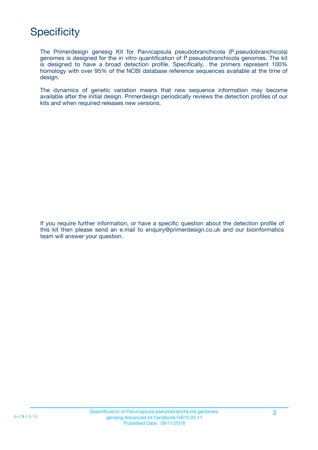# **Specificity**

The Primerdesign genesig Kit for Parvicapsula pseudobranchicola (P.pseudobranchicola) genomes is designed for the in vitro quantification of P.pseudobranchicola genomes. The kit is designed to have a broad detection profile. Specifically, the primers represent 100% homology with over 95% of the NCBI database reference sequences available at the time of design.

The dynamics of genetic variation means that new sequence information may become available after the initial design. Primerdesign periodically reviews the detection profiles of our kits and when required releases new versions.

If you require further information, or have a specific question about the detection profile of this kit then please send an e.mail to enquiry@primerdesign.co.uk and our bioinformatics team will answer your question.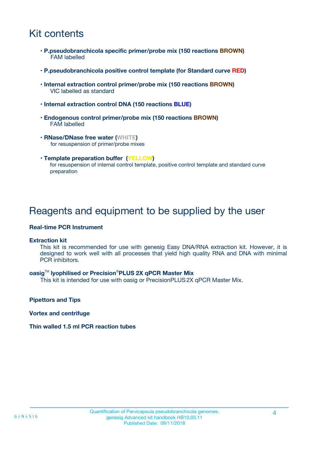# Kit contents

- **P.pseudobranchicola specific primer/probe mix (150 reactions BROWN)** FAM labelled
- **P.pseudobranchicola positive control template (for Standard curve RED)**
- **Internal extraction control primer/probe mix (150 reactions BROWN)** VIC labelled as standard
- **Internal extraction control DNA (150 reactions BLUE)**
- **Endogenous control primer/probe mix (150 reactions BROWN)** FAM labelled
- **RNase/DNase free water (WHITE)** for resuspension of primer/probe mixes
- **Template preparation buffer (YELLOW)** for resuspension of internal control template, positive control template and standard curve preparation

### Reagents and equipment to be supplied by the user

#### **Real-time PCR Instrument**

#### **Extraction kit**

This kit is recommended for use with genesig Easy DNA/RNA extraction kit. However, it is designed to work well with all processes that yield high quality RNA and DNA with minimal PCR inhibitors.

#### **oasig**TM **lyophilised or Precision**®**PLUS 2X qPCR Master Mix**

This kit is intended for use with oasig or PrecisionPLUS2X qPCR Master Mix.

**Pipettors and Tips**

**Vortex and centrifuge**

#### **Thin walled 1.5 ml PCR reaction tubes**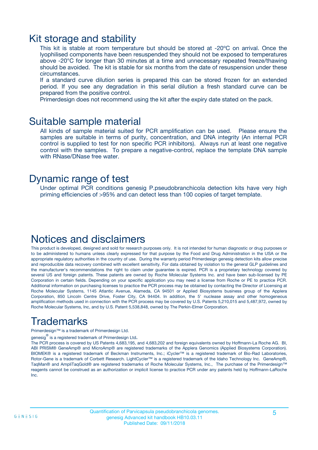### Kit storage and stability

This kit is stable at room temperature but should be stored at -20ºC on arrival. Once the lyophilised components have been resuspended they should not be exposed to temperatures above -20°C for longer than 30 minutes at a time and unnecessary repeated freeze/thawing should be avoided. The kit is stable for six months from the date of resuspension under these circumstances.

If a standard curve dilution series is prepared this can be stored frozen for an extended period. If you see any degradation in this serial dilution a fresh standard curve can be prepared from the positive control.

Primerdesign does not recommend using the kit after the expiry date stated on the pack.

### Suitable sample material

All kinds of sample material suited for PCR amplification can be used. Please ensure the samples are suitable in terms of purity, concentration, and DNA integrity (An internal PCR control is supplied to test for non specific PCR inhibitors). Always run at least one negative control with the samples. To prepare a negative-control, replace the template DNA sample with RNase/DNase free water.

### Dynamic range of test

Under optimal PCR conditions genesig P.pseudobranchicola detection kits have very high priming efficiencies of >95% and can detect less than 100 copies of target template.

### Notices and disclaimers

This product is developed, designed and sold for research purposes only. It is not intended for human diagnostic or drug purposes or to be administered to humans unless clearly expressed for that purpose by the Food and Drug Administration in the USA or the appropriate regulatory authorities in the country of use. During the warranty period Primerdesign genesig detection kits allow precise and reproducible data recovery combined with excellent sensitivity. For data obtained by violation to the general GLP guidelines and the manufacturer's recommendations the right to claim under guarantee is expired. PCR is a proprietary technology covered by several US and foreign patents. These patents are owned by Roche Molecular Systems Inc. and have been sub-licensed by PE Corporation in certain fields. Depending on your specific application you may need a license from Roche or PE to practice PCR. Additional information on purchasing licenses to practice the PCR process may be obtained by contacting the Director of Licensing at Roche Molecular Systems, 1145 Atlantic Avenue, Alameda, CA 94501 or Applied Biosystems business group of the Applera Corporation, 850 Lincoln Centre Drive, Foster City, CA 94404. In addition, the 5' nuclease assay and other homogeneous amplification methods used in connection with the PCR process may be covered by U.S. Patents 5,210,015 and 5,487,972, owned by Roche Molecular Systems, Inc, and by U.S. Patent 5,538,848, owned by The Perkin-Elmer Corporation.

# Trademarks

Primerdesign™ is a trademark of Primerdesign Ltd.

genesig $^\circledR$  is a registered trademark of Primerdesign Ltd.

The PCR process is covered by US Patents 4,683,195, and 4,683,202 and foreign equivalents owned by Hoffmann-La Roche AG. BI, ABI PRISM® GeneAmp® and MicroAmp® are registered trademarks of the Applera Genomics (Applied Biosystems Corporation). BIOMEK® is a registered trademark of Beckman Instruments, Inc.; iCycler™ is a registered trademark of Bio-Rad Laboratories, Rotor-Gene is a trademark of Corbett Research. LightCycler™ is a registered trademark of the Idaho Technology Inc. GeneAmp®, TaqMan® and AmpliTaqGold® are registered trademarks of Roche Molecular Systems, Inc., The purchase of the Primerdesign™ reagents cannot be construed as an authorization or implicit license to practice PCR under any patents held by Hoffmann-LaRoche Inc.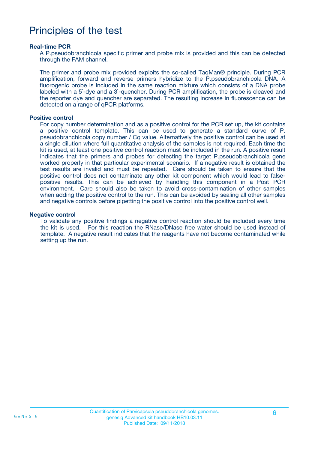### Principles of the test

#### **Real-time PCR**

A P.pseudobranchicola specific primer and probe mix is provided and this can be detected through the FAM channel.

The primer and probe mix provided exploits the so-called TaqMan® principle. During PCR amplification, forward and reverse primers hybridize to the P.pseudobranchicola DNA. A fluorogenic probe is included in the same reaction mixture which consists of a DNA probe labeled with a 5`-dye and a 3`-quencher. During PCR amplification, the probe is cleaved and the reporter dye and quencher are separated. The resulting increase in fluorescence can be detected on a range of qPCR platforms.

#### **Positive control**

For copy number determination and as a positive control for the PCR set up, the kit contains a positive control template. This can be used to generate a standard curve of P. pseudobranchicola copy number / Cq value. Alternatively the positive control can be used at a single dilution where full quantitative analysis of the samples is not required. Each time the kit is used, at least one positive control reaction must be included in the run. A positive result indicates that the primers and probes for detecting the target P.pseudobranchicola gene worked properly in that particular experimental scenario. If a negative result is obtained the test results are invalid and must be repeated. Care should be taken to ensure that the positive control does not contaminate any other kit component which would lead to falsepositive results. This can be achieved by handling this component in a Post PCR environment. Care should also be taken to avoid cross-contamination of other samples when adding the positive control to the run. This can be avoided by sealing all other samples and negative controls before pipetting the positive control into the positive control well.

#### **Negative control**

To validate any positive findings a negative control reaction should be included every time the kit is used. For this reaction the RNase/DNase free water should be used instead of template. A negative result indicates that the reagents have not become contaminated while setting up the run.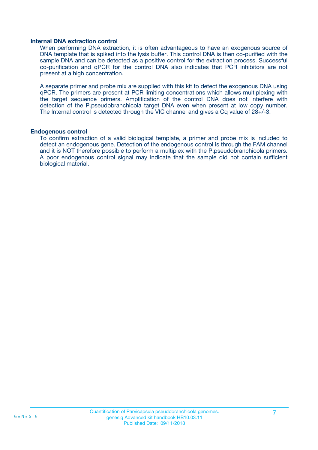#### **Internal DNA extraction control**

When performing DNA extraction, it is often advantageous to have an exogenous source of DNA template that is spiked into the lysis buffer. This control DNA is then co-purified with the sample DNA and can be detected as a positive control for the extraction process. Successful co-purification and qPCR for the control DNA also indicates that PCR inhibitors are not present at a high concentration.

A separate primer and probe mix are supplied with this kit to detect the exogenous DNA using qPCR. The primers are present at PCR limiting concentrations which allows multiplexing with the target sequence primers. Amplification of the control DNA does not interfere with detection of the P.pseudobranchicola target DNA even when present at low copy number. The Internal control is detected through the VIC channel and gives a Cq value of 28+/-3.

#### **Endogenous control**

To confirm extraction of a valid biological template, a primer and probe mix is included to detect an endogenous gene. Detection of the endogenous control is through the FAM channel and it is NOT therefore possible to perform a multiplex with the P.pseudobranchicola primers. A poor endogenous control signal may indicate that the sample did not contain sufficient biological material.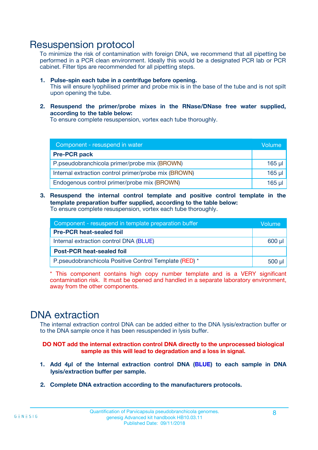### Resuspension protocol

To minimize the risk of contamination with foreign DNA, we recommend that all pipetting be performed in a PCR clean environment. Ideally this would be a designated PCR lab or PCR cabinet. Filter tips are recommended for all pipetting steps.

- **1. Pulse-spin each tube in a centrifuge before opening.** This will ensure lyophilised primer and probe mix is in the base of the tube and is not spilt upon opening the tube.
- **2. Resuspend the primer/probe mixes in the RNase/DNase free water supplied, according to the table below:**

To ensure complete resuspension, vortex each tube thoroughly.

| Component - resuspend in water                       |         |  |
|------------------------------------------------------|---------|--|
| <b>Pre-PCR pack</b>                                  |         |  |
| P.pseudobranchicola primer/probe mix (BROWN)         | $165$ µ |  |
| Internal extraction control primer/probe mix (BROWN) | $165$ µ |  |
| Endogenous control primer/probe mix (BROWN)          | 165 µl  |  |

**3. Resuspend the internal control template and positive control template in the template preparation buffer supplied, according to the table below:** To ensure complete resuspension, vortex each tube thoroughly.

| Component - resuspend in template preparation buffer  |  |  |
|-------------------------------------------------------|--|--|
| <b>Pre-PCR heat-sealed foil</b>                       |  |  |
| Internal extraction control DNA (BLUE)                |  |  |
| <b>Post-PCR heat-sealed foil</b>                      |  |  |
| P.pseudobranchicola Positive Control Template (RED) * |  |  |

\* This component contains high copy number template and is a VERY significant contamination risk. It must be opened and handled in a separate laboratory environment, away from the other components.

### DNA extraction

The internal extraction control DNA can be added either to the DNA lysis/extraction buffer or to the DNA sample once it has been resuspended in lysis buffer.

**DO NOT add the internal extraction control DNA directly to the unprocessed biological sample as this will lead to degradation and a loss in signal.**

- **1. Add 4µl of the Internal extraction control DNA (BLUE) to each sample in DNA lysis/extraction buffer per sample.**
- **2. Complete DNA extraction according to the manufacturers protocols.**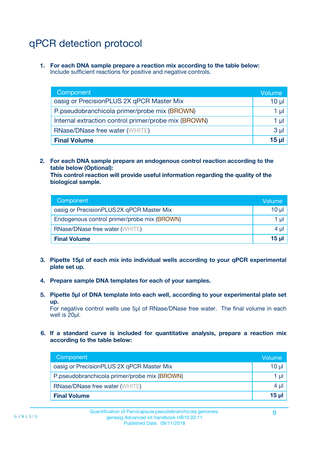# qPCR detection protocol

**1. For each DNA sample prepare a reaction mix according to the table below:** Include sufficient reactions for positive and negative controls.

| Component                                            | Volume   |
|------------------------------------------------------|----------|
| oasig or PrecisionPLUS 2X qPCR Master Mix            | 10 $\mu$ |
| P.pseudobranchicola primer/probe mix (BROWN)         | 1 µl     |
| Internal extraction control primer/probe mix (BROWN) | 1 µl     |
| <b>RNase/DNase free water (WHITE)</b>                | $3 \mu$  |
| <b>Final Volume</b>                                  | 15 µl    |

**2. For each DNA sample prepare an endogenous control reaction according to the table below (Optional):**

**This control reaction will provide useful information regarding the quality of the biological sample.**

| Component                                   | Volume          |
|---------------------------------------------|-----------------|
| oasig or PrecisionPLUS 2X qPCR Master Mix   | 10 <sub>µ</sub> |
| Endogenous control primer/probe mix (BROWN) | 1 µI            |
| <b>RNase/DNase free water (WHITE)</b>       | $4 \mu$         |
| <b>Final Volume</b>                         | 15 µl           |

- **3. Pipette 15µl of each mix into individual wells according to your qPCR experimental plate set up.**
- **4. Prepare sample DNA templates for each of your samples.**
- **5. Pipette 5µl of DNA template into each well, according to your experimental plate set up.**

For negative control wells use 5µl of RNase/DNase free water. The final volume in each well is 20ul.

**6. If a standard curve is included for quantitative analysis, prepare a reaction mix according to the table below:**

| Component                                    | Volume   |
|----------------------------------------------|----------|
| oasig or PrecisionPLUS 2X qPCR Master Mix    | $10 \mu$ |
| P.pseudobranchicola primer/probe mix (BROWN) | 1 µI     |
| <b>RNase/DNase free water (WHITE)</b>        | $4 \mu$  |
| <b>Final Volume</b>                          | 15 µl    |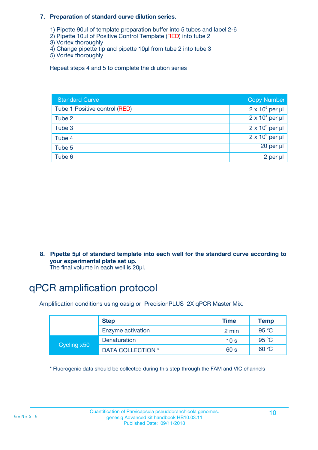#### **7. Preparation of standard curve dilution series.**

- 1) Pipette 90µl of template preparation buffer into 5 tubes and label 2-6
- 2) Pipette 10µl of Positive Control Template (RED) into tube 2
- 3) Vortex thoroughly
- 4) Change pipette tip and pipette 10µl from tube 2 into tube 3
- 5) Vortex thoroughly

Repeat steps 4 and 5 to complete the dilution series

| <b>Standard Curve</b>         | <b>Copy Number</b>     |
|-------------------------------|------------------------|
| Tube 1 Positive control (RED) | $2 \times 10^5$ per µl |
| Tube 2                        | $2 \times 10^4$ per µl |
| Tube 3                        | $2 \times 10^3$ per µl |
| Tube 4                        | $2 \times 10^2$ per µl |
| Tube 5                        | $20$ per $\mu$         |
| Tube 6                        | 2 per µl               |

**8. Pipette 5µl of standard template into each well for the standard curve according to your experimental plate set up.**

#### The final volume in each well is 20µl.

# qPCR amplification protocol

Amplification conditions using oasig or PrecisionPLUS 2X qPCR Master Mix.

|             | <b>Step</b>       | <b>Time</b>     | Temp    |
|-------------|-------------------|-----------------|---------|
|             | Enzyme activation | 2 min           | 95 °C   |
| Cycling x50 | Denaturation      | 10 <sub>s</sub> | 95 $°C$ |
|             | DATA COLLECTION * | 60 s            | 60 °C   |

\* Fluorogenic data should be collected during this step through the FAM and VIC channels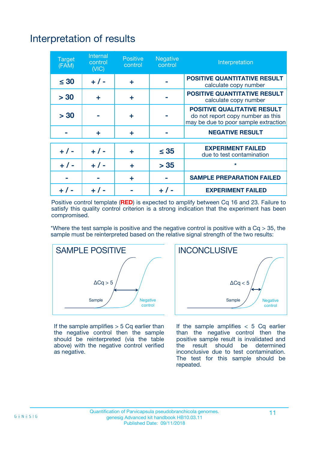# Interpretation of results

| <b>Target</b><br>(FAM) | <b>Internal</b><br>control<br>(NIC) | <b>Positive</b><br>control | <b>Negative</b><br>control | Interpretation                                                                                                  |
|------------------------|-------------------------------------|----------------------------|----------------------------|-----------------------------------------------------------------------------------------------------------------|
| $\leq 30$              | $+ 1 -$                             | ÷                          |                            | <b>POSITIVE QUANTITATIVE RESULT</b><br>calculate copy number                                                    |
| > 30                   | ٠                                   | ÷                          |                            | <b>POSITIVE QUANTITATIVE RESULT</b><br>calculate copy number                                                    |
| > 30                   |                                     | ÷                          |                            | <b>POSITIVE QUALITATIVE RESULT</b><br>do not report copy number as this<br>may be due to poor sample extraction |
|                        | ٠                                   | ÷                          |                            | <b>NEGATIVE RESULT</b>                                                                                          |
| $+ 1 -$                | $+ 1 -$                             | ÷                          | $\leq 35$                  | <b>EXPERIMENT FAILED</b><br>due to test contamination                                                           |
| $+ 1 -$                | $+ 1 -$                             | ÷                          | > 35                       | $\star$                                                                                                         |
|                        |                                     | ÷                          |                            | <b>SAMPLE PREPARATION FAILED</b>                                                                                |
|                        |                                     |                            | $+$ /                      | <b>EXPERIMENT FAILED</b>                                                                                        |

Positive control template (**RED**) is expected to amplify between Cq 16 and 23. Failure to satisfy this quality control criterion is a strong indication that the experiment has been compromised.

\*Where the test sample is positive and the negative control is positive with a  $Ca > 35$ , the sample must be reinterpreted based on the relative signal strength of the two results:



If the sample amplifies  $> 5$  Cq earlier than the negative control then the sample should be reinterpreted (via the table above) with the negative control verified as negative.



If the sample amplifies  $< 5$  Cq earlier than the negative control then the positive sample result is invalidated and<br>the result should be determined  $the$  result should be inconclusive due to test contamination. The test for this sample should be repeated.